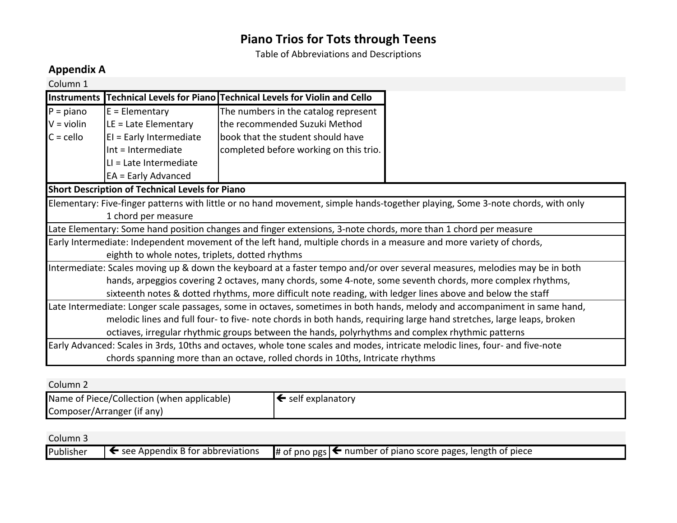Table of Abbreviations and Descriptions

### **Appendix&A**

| Column 1                                                                                                   |                                                                                                                            |                                                                                                                     |                                                                                                                                |  |  |
|------------------------------------------------------------------------------------------------------------|----------------------------------------------------------------------------------------------------------------------------|---------------------------------------------------------------------------------------------------------------------|--------------------------------------------------------------------------------------------------------------------------------|--|--|
| <b>Instruments</b>                                                                                         |                                                                                                                            | Technical Levels for Piano Technical Levels for Violin and Cello                                                    |                                                                                                                                |  |  |
| $P = piano$                                                                                                | $E = Elementary$                                                                                                           | The numbers in the catalog represent                                                                                |                                                                                                                                |  |  |
| $V = violin$                                                                                               | $LE =$ Late Elementary                                                                                                     | the recommended Suzuki Method                                                                                       |                                                                                                                                |  |  |
| $C =$ cello                                                                                                | $EI = Early Intermediate$                                                                                                  | book that the student should have                                                                                   |                                                                                                                                |  |  |
|                                                                                                            | Int = Intermediate                                                                                                         | completed before working on this trio.                                                                              |                                                                                                                                |  |  |
|                                                                                                            | $LI = Late$ Intermediate                                                                                                   |                                                                                                                     |                                                                                                                                |  |  |
|                                                                                                            | $EA = Early Advanced$                                                                                                      |                                                                                                                     |                                                                                                                                |  |  |
|                                                                                                            | <b>Short Description of Technical Levels for Piano</b>                                                                     |                                                                                                                     |                                                                                                                                |  |  |
|                                                                                                            |                                                                                                                            |                                                                                                                     | Elementary: Five-finger patterns with little or no hand movement, simple hands-together playing, Some 3-note chords, with only |  |  |
|                                                                                                            | 1 chord per measure                                                                                                        |                                                                                                                     |                                                                                                                                |  |  |
|                                                                                                            |                                                                                                                            | Late Elementary: Some hand position changes and finger extensions, 3-note chords, more than 1 chord per measure     |                                                                                                                                |  |  |
|                                                                                                            |                                                                                                                            | Early Intermediate: Independent movement of the left hand, multiple chords in a measure and more variety of chords, |                                                                                                                                |  |  |
|                                                                                                            | eighth to whole notes, triplets, dotted rhythms                                                                            |                                                                                                                     |                                                                                                                                |  |  |
|                                                                                                            | Intermediate: Scales moving up & down the keyboard at a faster tempo and/or over several measures, melodies may be in both |                                                                                                                     |                                                                                                                                |  |  |
| hands, arpeggios covering 2 octaves, many chords, some 4-note, some seventh chords, more complex rhythms,  |                                                                                                                            |                                                                                                                     |                                                                                                                                |  |  |
| sixteenth notes & dotted rhythms, more difficult note reading, with ledger lines above and below the staff |                                                                                                                            |                                                                                                                     |                                                                                                                                |  |  |
|                                                                                                            | Late Intermediate: Longer scale passages, some in octaves, sometimes in both hands, melody and accompaniment in same hand, |                                                                                                                     |                                                                                                                                |  |  |
|                                                                                                            | melodic lines and full four- to five- note chords in both hands, requiring large hand stretches, large leaps, broken       |                                                                                                                     |                                                                                                                                |  |  |
|                                                                                                            | octiaves, irregular rhythmic groups between the hands, polyrhythms and complex rhythmic patterns                           |                                                                                                                     |                                                                                                                                |  |  |
|                                                                                                            |                                                                                                                            |                                                                                                                     | Early Advanced: Scales in 3rds, 10ths and octaves, whole tone scales and modes, intricate melodic lines, four- and five-note   |  |  |
|                                                                                                            | chords spanning more than an octave, rolled chords in 10ths, Intricate rhythms                                             |                                                                                                                     |                                                                                                                                |  |  |

| Column 2                                   |                               |
|--------------------------------------------|-------------------------------|
| Name of Piece/Collection (when applicable) | $\leftarrow$ self explanatory |
|                                            |                               |
| Composer/Arranger (if any)                 |                               |

Column 3

| Publisher | $\blacksquare$ see Appendix B for abbreviations | <b>‡</b> of pno pgs $\left  \leftarrow \right.$ number of piano score pages, length of piece |
|-----------|-------------------------------------------------|----------------------------------------------------------------------------------------------|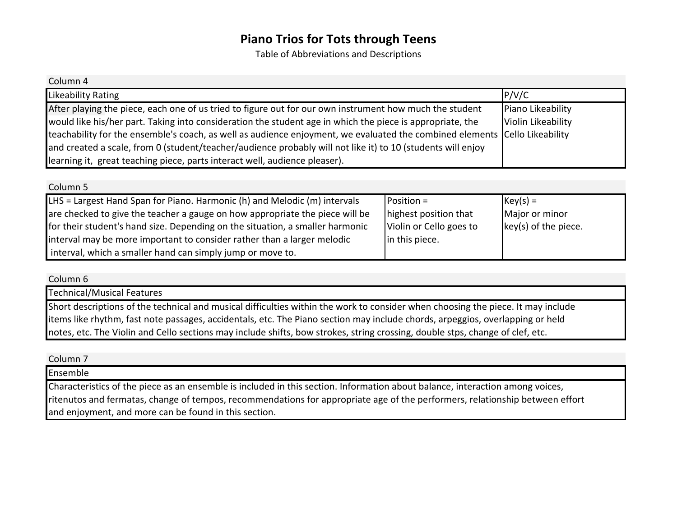Table of Abbreviations and Descriptions

| Column 4                                                                                                                   |                    |
|----------------------------------------------------------------------------------------------------------------------------|--------------------|
| Likeability Rating                                                                                                         | P/V/C              |
| After playing the piece, each one of us tried to figure out for our own instrument how much the student                    | Piano Likeability  |
| would like his/her part. Taking into consideration the student age in which the piece is appropriate, the                  | Violin Likeability |
| teachability for the ensemble's coach, as well as audience enjoyment, we evaluated the combined elements Cello Likeability |                    |
| and created a scale, from 0 (student/teacher/audience probably will not like it) to 10 (students will enjoy                |                    |
| learning it, great teaching piece, parts interact well, audience pleaser).                                                 |                    |

| Column <sub>5</sub>                                                           |                         |                                              |
|-------------------------------------------------------------------------------|-------------------------|----------------------------------------------|
| LHS = Largest Hand Span for Piano. Harmonic (h) and Melodic (m) intervals     | $Postion =$             | $ Key(s)  =$                                 |
| are checked to give the teacher a gauge on how appropriate the piece will be  | highest position that   | Major or minor                               |
| for their student's hand size. Depending on the situation, a smaller harmonic | Violin or Cello goes to | $\left  \text{key}(s) \right $ of the piece. |
| interval may be more important to consider rather than a larger melodic       | in this piece.          |                                              |
| interval, which a smaller hand can simply jump or move to.                    |                         |                                              |

Column<sub>6</sub>

Technical/Musical Features Short descriptions of the technical and musical difficulties within the work to consider when choosing the piece. It may include items like rhythm, fast note passages, accidentals, etc. The Piano section may include chords, arpeggios, overlapping or held notes, etc. The Violin and Cello sections may include shifts, bow strokes, string crossing, double stps, change of clef, etc.

Column<sub>7</sub>

Ensemble

Characteristics of the piece as an ensemble is included in this section. Information about balance, interaction among voices, ritenutos and fermatas, change of tempos, recommendations for appropriate age of the performers, relationship between effort and enjoyment, and more can be found in this section.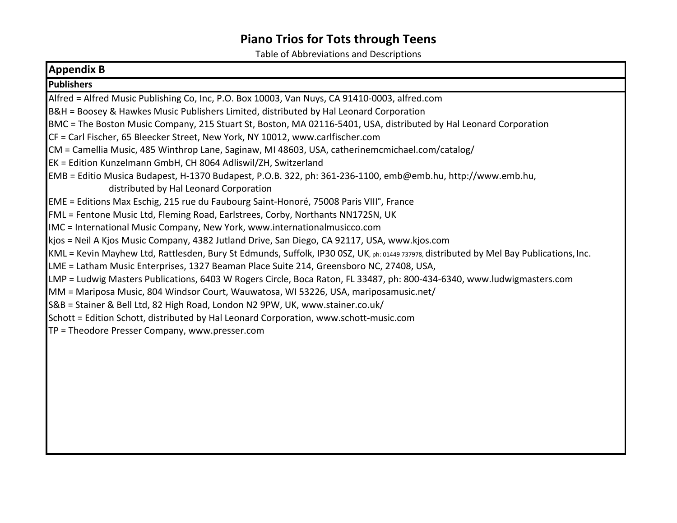Table of Abbreviations and Descriptions

| <b>Appendix B</b>                                                                                                                       |
|-----------------------------------------------------------------------------------------------------------------------------------------|
| <b>Publishers</b>                                                                                                                       |
| Alfred = Alfred Music Publishing Co, Inc, P.O. Box 10003, Van Nuys, CA 91410-0003, alfred.com                                           |
| B&H = Boosey & Hawkes Music Publishers Limited, distributed by Hal Leonard Corporation                                                  |
| BMC = The Boston Music Company, 215 Stuart St, Boston, MA 02116-5401, USA, distributed by Hal Leonard Corporation                       |
| CF = Carl Fischer, 65 Bleecker Street, New York, NY 10012, www.carlfischer.com                                                          |
| CM = Camellia Music, 485 Winthrop Lane, Saginaw, MI 48603, USA, catherinemcmichael.com/catalog/                                         |
| EK = Edition Kunzelmann GmbH, CH 8064 Adliswil/ZH, Switzerland                                                                          |
| EMB = Editio Musica Budapest, H-1370 Budapest, P.O.B. 322, ph: 361-236-1100, emb@emb.hu, http://www.emb.hu,                             |
| distributed by Hal Leonard Corporation                                                                                                  |
| EME = Editions Max Eschig, 215 rue du Faubourg Saint-Honoré, 75008 Paris VIII°, France                                                  |
| FML = Fentone Music Ltd, Fleming Road, Earlstrees, Corby, Northants NN172SN, UK                                                         |
| IMC = International Music Company, New York, www.internationalmusicco.com                                                               |
| kjos = Neil A Kjos Music Company, 4382 Jutland Drive, San Diego, CA 92117, USA, www.kjos.com                                            |
| KML = Kevin Mayhew Ltd, Rattlesden, Bury St Edmunds, Suffolk, IP30 0SZ, UK, ph: 01449 737978, distributed by Mel Bay Publications, Inc. |
| LME = Latham Music Enterprises, 1327 Beaman Place Suite 214, Greensboro NC, 27408, USA,                                                 |
| LMP = Ludwig Masters Publications, 6403 W Rogers Circle, Boca Raton, FL 33487, ph: 800-434-6340, www.ludwigmasters.com                  |
| MM = Mariposa Music, 804 Windsor Court, Wauwatosa, WI 53226, USA, mariposamusic.net/                                                    |
| S&B = Stainer & Bell Ltd, 82 High Road, London N2 9PW, UK, www.stainer.co.uk/                                                           |
| Schott = Edition Schott, distributed by Hal Leonard Corporation, www.schott-music.com                                                   |
| TP = Theodore Presser Company, www.presser.com                                                                                          |
|                                                                                                                                         |
|                                                                                                                                         |
|                                                                                                                                         |
|                                                                                                                                         |